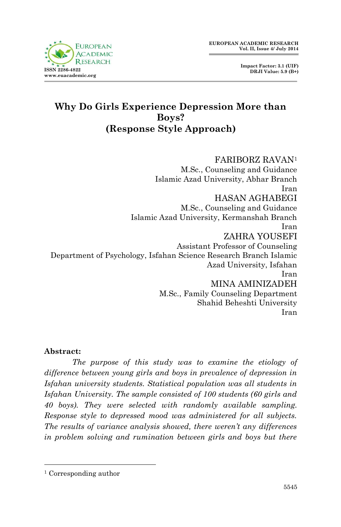

 **Impact Factor: 3.1 (UIF) DRJI Value: 5.9 (B+)**

# **Why Do Girls Experience Depression More than Boys? (Response Style Approach)**

FARIBORZ RAVAN<sup>1</sup> M.Sc., Counseling and Guidance Islamic Azad University, Abhar Branch Iran HASAN AGHABEGI M.Sc., Counseling and Guidance Islamic Azad University, Kermanshah Branch Iran ZAHRA YOUSEFI Assistant Professor of Counseling Department of Psychology, Isfahan Science Research Branch Islamic Azad University, Isfahan Iran MINA AMINIZADEH M.Sc., Family Counseling Department Shahid Beheshti University Iran

### **Abstract:**

*The purpose of this study was to examine the etiology of difference between young girls and boys in prevalence of depression in Isfahan university students. Statistical population was all students in Isfahan University. The sample consisted of 100 students (60 girls and 40 boys). They were selected with randomly available sampling. Response style to depressed mood was administered for all subjects. The results of variance analysis showed, there weren't any differences in problem solving and rumination between girls and boys but there* 

1

<sup>1</sup> Corresponding author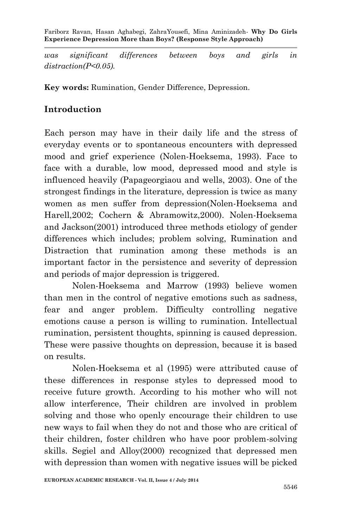Fariborz Ravan, Hasan Aghabegi, ZahraYousefi, Mina Aminizadeh*-* **Why Do Girls Experience Depression More than Boys? (Response Style Approach)**

*was significant differences between boys and girls in distraction(P<0.05).*

**Key words:** Rumination, Gender Difference, Depression.

## **Introduction**

Each person may have in their daily life and the stress of everyday events or to spontaneous encounters with depressed mood and grief experience (Nolen-Hoeksema, 1993). Face to face with a durable, low mood, depressed mood and style is influenced heavily (Papageorgiaou and wells, 2003). One of the strongest findings in the literature, depression is twice as many women as men suffer from depression(Nolen-Hoeksema and Harell,2002; Cochern & Abramowitz,2000). Nolen-Hoeksema and Jackson(2001) introduced three methods etiology of gender differences which includes; problem solving, Rumination and Distraction that rumination among these methods is an important factor in the persistence and severity of depression and periods of major depression is triggered.

Nolen-Hoeksema and Marrow (1993) believe women than men in the control of negative emotions such as sadness, fear and anger problem. Difficulty controlling negative emotions cause a person is willing to rumination. Intellectual rumination, persistent thoughts, spinning is caused depression. These were passive thoughts on depression, because it is based on results.

Nolen-Hoeksema et al (1995) were attributed cause of these differences in response styles to depressed mood to receive future growth. According to his mother who will not allow interference, Their children are involved in problem solving and those who openly encourage their children to use new ways to fail when they do not and those who are critical of their children, foster children who have poor problem-solving skills. Segiel and Alloy(2000) recognized that depressed men with depression than women with negative issues will be picked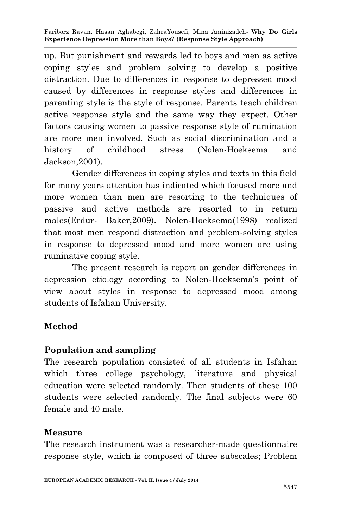Fariborz Ravan, Hasan Aghabegi, ZahraYousefi, Mina Aminizadeh*-* **Why Do Girls Experience Depression More than Boys? (Response Style Approach)**

up. But punishment and rewards led to boys and men as active coping styles and problem solving to develop a positive distraction. Due to differences in response to depressed mood caused by differences in response styles and differences in parenting style is the style of response. Parents teach children active response style and the same way they expect. Other factors causing women to passive response style of rumination are more men involved. Such as social discrimination and a history of childhood stress (Nolen-Hoeksema and Jackson,2001).

Gender differences in coping styles and texts in this field for many years attention has indicated which focused more and more women than men are resorting to the techniques of passive and active methods are resorted to in return males(Erdur- Baker,2009). Nolen-Hoeksema(1998) realized that most men respond distraction and problem-solving styles in response to depressed mood and more women are using ruminative coping style.

The present research is report on gender differences in depression etiology according to Nolen-Hoeksema's point of view about styles in response to depressed mood among students of Isfahan University.

## **Method**

## **Population and sampling**

The research population consisted of all students in Isfahan which three college psychology, literature and physical education were selected randomly. Then students of these 100 students were selected randomly. The final subjects were 60 female and 40 male.

### **Measure**

The research instrument was a researcher-made questionnaire response style, which is composed of three subscales; Problem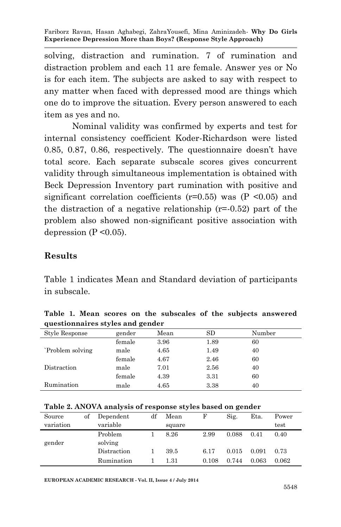Fariborz Ravan, Hasan Aghabegi, ZahraYousefi, Mina Aminizadeh*-* **Why Do Girls Experience Depression More than Boys? (Response Style Approach)**

solving, distraction and rumination. 7 of rumination and distraction problem and each 11 are female. Answer yes or No is for each item. The subjects are asked to say with respect to any matter when faced with depressed mood are things which one do to improve the situation. Every person answered to each item as yes and no.

Nominal validity was confirmed by experts and test for internal consistency coefficient Koder-Richardson were listed 0.85, 0.87, 0.86, respectively. The questionnaire doesn't have total score. Each separate subscale scores gives concurrent validity through simultaneous implementation is obtained with Beck Depression Inventory part rumination with positive and significant correlation coefficients ( $r=0.55$ ) was ( $P \le 0.05$ ) and the distraction of a negative relationship  $(r=0.52)$  part of the problem also showed non-significant positive association with depression ( $P \le 0.05$ ).

### **Results**

Table 1 indicates Mean and Standard deviation of participants in subscale.

| $\frac{1}{2}$ |      |      |        |  |  |  |  |  |  |
|---------------|------|------|--------|--|--|--|--|--|--|
| gender        | Mean | SD   | Number |  |  |  |  |  |  |
| female        | 3.96 | 1.89 | 60     |  |  |  |  |  |  |
| male          | 4.65 | 1.49 | 40     |  |  |  |  |  |  |
| female        | 4.67 | 2.46 | 60     |  |  |  |  |  |  |
| male          | 7.01 | 2.56 | 40     |  |  |  |  |  |  |
| female        | 4.39 | 3.31 | 60     |  |  |  |  |  |  |
| male          | 4.65 | 3.38 | 40     |  |  |  |  |  |  |
|               |      |      |        |  |  |  |  |  |  |

**Table 1. Mean scores on the subscales of the subjects answered questionnaires styles and gender**

| Source    | of | Dependent   | df | Mean   | F     | Sig.  | Eta.  | Power |
|-----------|----|-------------|----|--------|-------|-------|-------|-------|
| variation |    | variable    |    | square |       |       |       | test  |
|           |    | Problem     |    | 8.26   | 2.99  | 0.088 | 0.41  | 0.40  |
| gender    |    | solving     |    |        |       |       |       |       |
|           |    | Distraction |    | 39.5   | 6.17  | 0.015 | 0.091 | 0.73  |
|           |    | Rumination  |    | 1.31   | 0.108 | 0.744 | 0.063 | 0.062 |

**EUROPEAN ACADEMIC RESEARCH - Vol. II, Issue 4 / July 2014**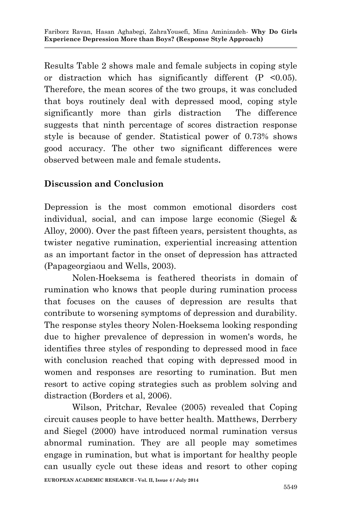Results Table 2 shows male and female subjects in coping style or distraction which has significantly different (P <0.05). Therefore, the mean scores of the two groups, it was concluded that boys routinely deal with depressed mood, coping style significantly more than girls distraction The difference suggests that ninth percentage of scores distraction response style is because of gender. Statistical power of 0.73% shows good accuracy. The other two significant differences were observed between male and female students**.**

# **Discussion and Conclusion**

Depression is the most common emotional disorders cost individual, social, and can impose large economic (Siegel & Alloy, 2000). Over the past fifteen years, persistent thoughts, as twister negative rumination, experiential increasing attention as an important factor in the onset of depression has attracted (Papageorgiaou and Wells, 2003).

Nolen-Hoeksema is feathered theorists in domain of rumination who knows that people during rumination process that focuses on the causes of depression are results that contribute to worsening symptoms of depression and durability. The response styles theory Nolen-Hoeksema looking responding due to higher prevalence of depression in women's words, he identifies three styles of responding to depressed mood in face with conclusion reached that coping with depressed mood in women and responses are resorting to rumination. But men resort to active coping strategies such as problem solving and distraction (Borders et al, 2006).

Wilson, Pritchar, Revalee (2005) revealed that Coping circuit causes people to have better health. Matthews, Derrbery and Siegel (2000) have introduced normal rumination versus abnormal rumination. They are all people may sometimes engage in rumination, but what is important for healthy people can usually cycle out these ideas and resort to other coping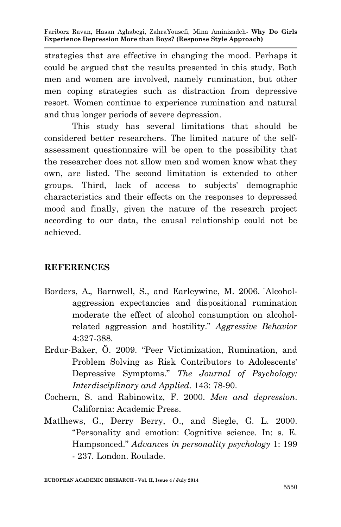strategies that are effective in changing the mood. Perhaps it could be argued that the results presented in this study. Both men and women are involved, namely rumination, but other men coping strategies such as distraction from depressive resort. Women continue to experience rumination and natural and thus longer periods of severe depression.

This study has several limitations that should be considered better researchers. The limited nature of the selfassessment questionnaire will be open to the possibility that the researcher does not allow men and women know what they own, are listed. The second limitation is extended to other groups. Third, lack of access to subjects' demographic characteristics and their effects on the responses to depressed mood and finally, given the nature of the research project according to our data, the causal relationship could not be achieved.

## **REFERENCES**

- Borders, A**.**, Barnwell, S., and Earleywine, M. 2006. "Alcoholaggression expectancies and dispositional rumination moderate the effect of alcohol consumption on alcoholrelated aggression and hostility." *Aggressive Behavior* 4:327-388.
- Erdur-Baker, Ö. 2009. "Peer Victimization, Rumination, and Problem Solving as Risk Contributors to Adolescents' Depressive Symptoms." *The Journal of Psychology: Interdisciplinary and Applied*. 143: 78-90.
- Cochern, S. and Rabinowitz, F. 2000. *Men and depression*. California: Academic Press.
- Matlhews, G., Derry Berry, O., and Siegle, G. L. 2000. "Personality and emotion: Cognitive science. In: s. E. Hampsonced." *Advances in personality psychology* 1: 199 - 237. London. Roulade.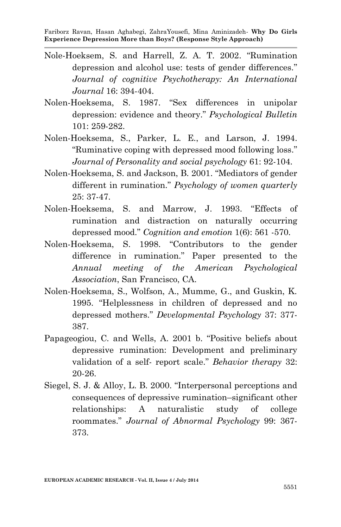- Nole-Hoeksem, S. and Harrell, Z. A. T. 2002. "Rumination depression and alcohol use: tests of gender differences." *Journal of cognitive Psychotherapy: An International Journal* 16: 394-404.
- Nolen-Hoeksema, S. 1987. "Sex differences in unipolar depression: evidence and theory." *Psychological Bulletin* 101: 259-282.
- Nolen-Hoeksema, S., Parker, L. E., and Larson, J. 1994. "Ruminative coping with depressed mood following loss." *Journal of Personality and social psychology* 61: 92-104.
- Nolen-Hoeksema, S. and Jackson, B. 2001. "Mediators of gender different in rumination." *Psychology of women quarterly* 25: 37-47.
- Nolen-Hoeksema, S. and Marrow, J. 1993. "Effects of rumination and distraction on naturally occurring depressed mood." *Cognition and emotion* 1(6): 561 -570.
- Nolen-Hoeksema, S. 1998. "Contributors to the gender difference in rumination." Paper presented to the *Annual meeting of the American Psychological Association*, San Francisco, CA.
- Nolen-Hoeksema, S., Wolfson, A., Mumme, G., and Guskin, K. 1995. "Helplessness in children of depressed and no depressed mothers." *Developmental Psychology* 37: 377- 387.
- Papageogiou, C. and Wells, A. 2001 b. "Positive beliefs about depressive rumination: Development and preliminary validation of a self- report scale." *Behavior therapy* 32: 20-26.
- Siegel, S. J. & Alloy, L. B. 2000. "Interpersonal perceptions and consequences of depressive rumination–significant other relationships: A naturalistic study of college roommates." *Journal of Abnormal Psychology* 99: 367- 373.